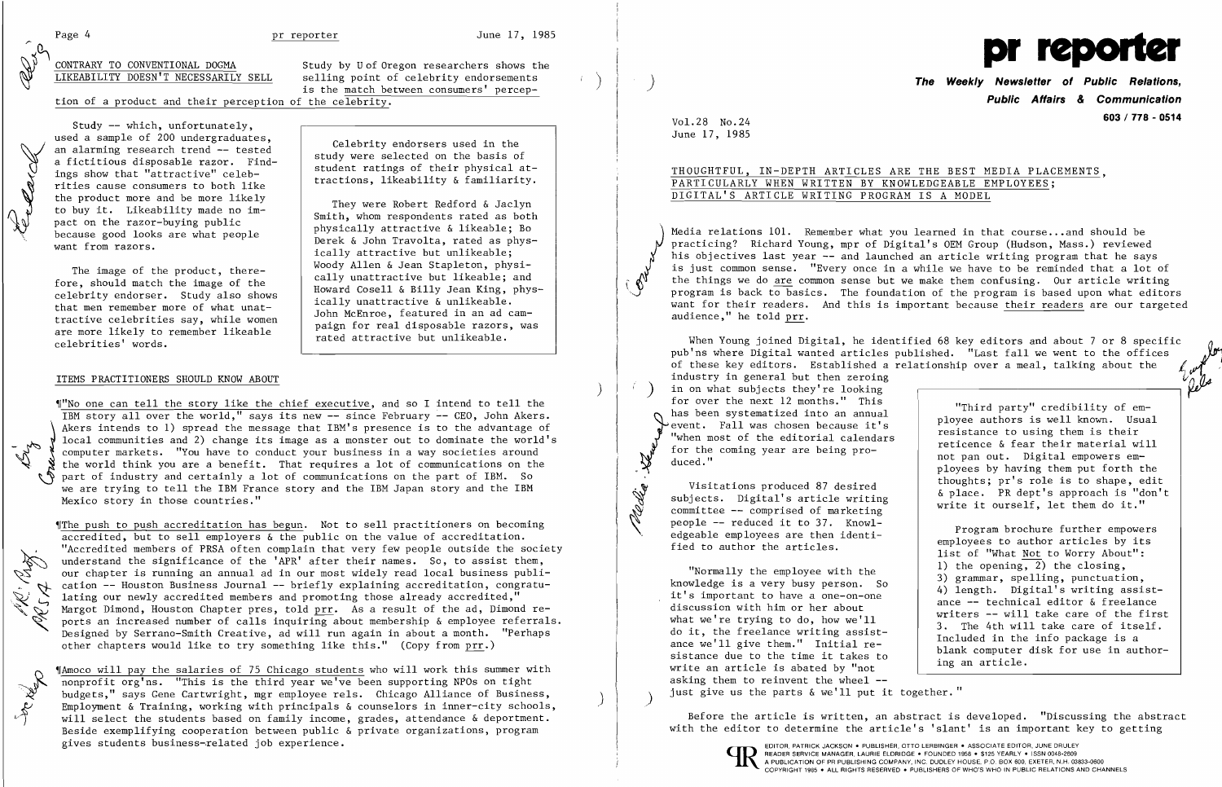$\sum_{i=1}^{n}$ 

 $\left( \right)$ 

 $\left\langle \left\langle \cdot \right\rangle \right\rangle$ 

Pleddy.

 $\left( \right)$ 

CONTRARY TO CONVENTIONAL DOGMA<br>
LIKEABILITY DOESN'T NECESSARILY SELL selling point of celebrity endorsements  $\bigotimes_{\text{LIKEABILITY TO CONVENTIONAL DOGMA}}$  Study by U of Oregon researchers shows the selling point of celebrity endorsements is the match between consumers' percep-

tion of a product and their perception of the celebrity.

Study -- which, unfortunately, used a sample of 200 undergraduates, an alarming research trend -- tested a fictitious disposable razor. Findings show that "attractive" celebrities cause consumers to both like the product more and be more likely to buy it. Likeability made no impact on the razor-buying public to buy it. Likeability made no im-<br>pact on the razor-buying public<br>because good looks are what people want from razors.

> The image of the product, therefore, should match the image of the celebrity endorser. Study also shows that men remember more of what unattractive celebrities say, while women are more likely to remember likeable celebrities' words.

## ITEMS PRACTITIONERS SHOULD KNOW ABOUT

Celebrity endorsers used in the study were selected on the basis of student ratings of their physical attractions, likeability & familiarity.

They were Robert Redford & Jaclyn Smith, whom respondents rated as both physically attractive & likeable; Bo Derek & John Travolta, rated as physically attractive but unlikeable; Woody Allen & Jean Stapleton, physically unattractive but likeable; and Howard Cosell & Billy Jean King, physically unattractive & unlikeable. John McEnroe, featured in an ad campaign for real disposable razors, was rated attractive but unlikeable.

The push to push accreditation has begun. Not to sell practitioners on becoming accredited, but to sell employers  $\⊂>$  the public on the value of accreditation. "Accredited members of PRSA often complain that very few p The push to push accreditation has begun. Not to sell practitioners on becoming accredited, but to sell employers  $\&$  the public on the value of accreditation. "Accredited members of PRSA often complain that very few people outside the society understand the significance of the 'APR' after their names. So, to assist them, our chapter is running an annual ad in our most widely read local business publi cation -- Houston Business Journal -- briefly explaining accreditation, congratu let the lating our newly accredited members and promoting those already accredited,"<br>Margot Dimond, Houston Chapter pres, told prr. As a result of the ad, Dimond re Margot Dimond, Houston Chapter pres, told  $\overline{prr}$ . As a result of the ad, Dimond re-<br>ports an increased number of calls inquiring about membership & employee referrals. Designed by Serrano-Smith Creative, ad will run again in about a month. "Perhaps other chapters would like to try something like this." (Copy from prr.)

~IAmoco will pay the salaries of 75 Chicago students who will work this summer with nonprofit org'ns. "This is the third year we've been supporting NPOs on tight<br>budgets," says Gene Cartwright, mgr employee rels. Chicago Alliance of Business,<br>Employment & Training, working with principals & counselors in Employment & Training, working with principals & counselors in inner-city schools, will select the students based on family income, grades, attendance & deportment.<br>Beside exemplifying cooperation between public & private organizations, program gives students business-related job experience. The external experience and the experience of the experience of the experience of the experience of the experience of the experience of the experience of the experience of th

**The Weekly Newsletter of Public Relations. Public Affairs & Communication 603 I 778 - 0514** Vol. 28 No.24

~f"No one can tell the story like the chief executive, and so I intend to tell the IBM story allover the world," says its new -- since February -- CEO, John Akers. Akers intends to 1) spread the message that IBM's presence is to the advantage of local communities and 2) change its image as a monster out to dominate the world's computer markets. "You have to conduct your business in a way societies around the world think you are a benefit. That requires a lot of communications on the part of industry and certainly a lot of communications on the part of IBM. So we are trying to tell the IBM France story and the IBM Japan story and the IBM Mexico story in those countries."

Media relations 101. Remember what you learned in that course...and should be practicing? Richard Young, mpr of Digital's OEM Group (Hudson, Mass.) reviewed his objectives last year -- and launched an article writing program that he says is just common sense. "Every once in a while we have to be reminded that a lot of<br>the things we do are common sense but we make them confusing. Our article writing program is back to basics. The foundation of the program is based upon what editors want for their readers. And this is important because their readers are our targeted audience," he told prr.



"Normally the employee with the knowledge is a very busy person. So it's important to have a one-on-one discussion with him or her about what we're trying to do, how we'll do it, the freelance writing assistance we'll give them." Initial resistance due to the time it takes to write an article is abated by "not asking them to reinvent the wheel just give us the parts  $\&$  we'll put it together."

When Young joined Digital, he identified  $68$  key editors and about 7 or 8 specific pub'ns where Digital wanted articles published. "Last fall we went to the offices of these key editors. Established a relationship over a meal, talking about the industry in general but then zeroing in on what subjects they're looking for over the next 12 months." This "Third party" credibility of emhas been systematized into an annual ployee authors is well known. Usual event. Fall was chosen because it's resistance to using them is their "when most of the editorial calendars reticence & fear their material will for the coming year are being pronot pan out. Digital empowers emduced." ployees by having them put forth the thoughts; pr's role is to shape, edit Visitations produced 87 desired & place. PR dept's approach is "don't write it ourself, let them do it."

Before the article is written, an abstract is developed. "Discussing the abstract with the editor to determine the article's 'slant' is an important key to getting



June 17, 1985

## THOUGHTFUL, IN-DEPTH ARTICLES ARE THE BEST MEDIA PLACEMENTS, PARTICULARLY WHEN WRITTEN BY KNOWLEDGEABLE EMPLOYEES; DIGITAL'S ARTICLE WRITING PROGRAM IS A MODEL

subjects. Digital's article writing committee -- comprised of marketing people -- reduced it to 37. Knowledgeable employees are then identified to author the articles.

Program brochure further empowers employees to author articles by its list of "What Not to Worry About": 1) the opening, 2) the closing, 3) grammar, spelling, punctuation, 4) length. Digital's writing assistance -- technical editor & freelance writers -- will take care of the first 3. The 4th will take care of itself. Included in the info package is a blank computer disk for use in authoring an article.